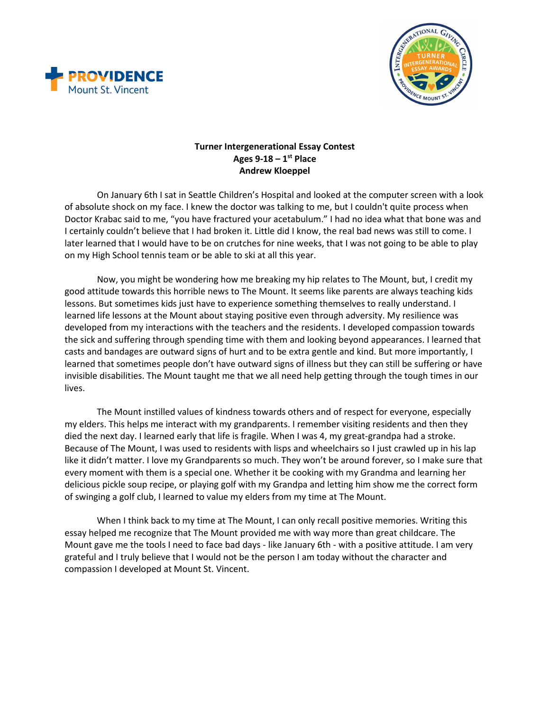



## **Turner Intergenerational Essay Contest Ages 9-18 – 1st Place Andrew Kloeppel**

On January 6th I sat in Seattle Children's Hospital and looked at the computer screen with a look of absolute shock on my face. I knew the doctor was talking to me, but I couldn't quite process when Doctor Krabac said to me, "you have fractured your acetabulum." I had no idea what that bone was and I certainly couldn't believe that I had broken it. Little did I know, the real bad news was still to come. I later learned that I would have to be on crutches for nine weeks, that I was not going to be able to play on my High School tennis team or be able to ski at all this year.

Now, you might be wondering how me breaking my hip relates to The Mount, but, I credit my good attitude towards this horrible news to The Mount. It seems like parents are always teaching kids lessons. But sometimes kids just have to experience something themselves to really understand. I learned life lessons at the Mount about staying positive even through adversity. My resilience was developed from my interactions with the teachers and the residents. I developed compassion towards the sick and suffering through spending time with them and looking beyond appearances. I learned that casts and bandages are outward signs of hurt and to be extra gentle and kind. But more importantly, I learned that sometimes people don't have outward signs of illness but they can still be suffering or have invisible disabilities. The Mount taught me that we all need help getting through the tough times in our lives.

The Mount instilled values of kindness towards others and of respect for everyone, especially my elders. This helps me interact with my grandparents. I remember visiting residents and then they died the next day. I learned early that life is fragile. When I was 4, my great-grandpa had a stroke. Because of The Mount, I was used to residents with lisps and wheelchairs so I just crawled up in his lap like it didn't matter. I love my Grandparents so much. They won't be around forever, so I make sure that every moment with them is a special one. Whether it be cooking with my Grandma and learning her delicious pickle soup recipe, or playing golf with my Grandpa and letting him show me the correct form of swinging a golf club, I learned to value my elders from my time at The Mount.

When I think back to my time at The Mount, I can only recall positive memories. Writing this essay helped me recognize that The Mount provided me with way more than great childcare. The Mount gave me the tools I need to face bad days - like January 6th - with a positive attitude. I am very grateful and I truly believe that I would not be the person I am today without the character and compassion I developed at Mount St. Vincent.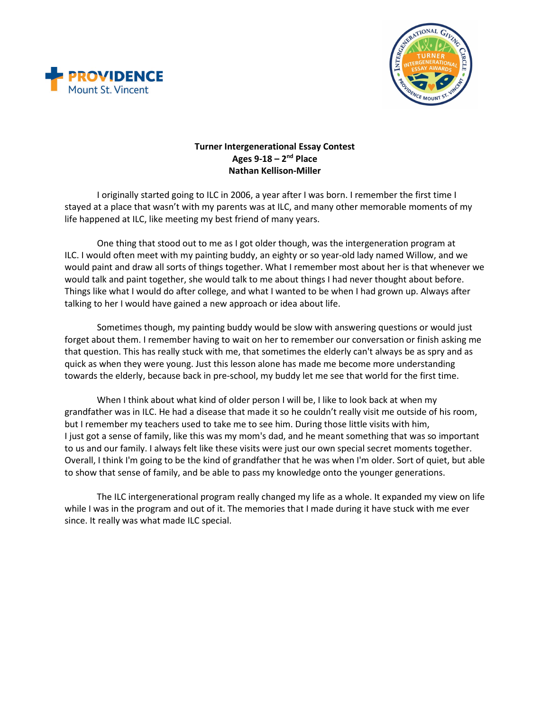



## **Turner Intergenerational Essay Contest Ages 9-18 – 2nd Place Nathan Kellison-Miller**

I originally started going to ILC in 2006, a year after I was born. I remember the first time I stayed at a place that wasn't with my parents was at ILC, and many other memorable moments of my life happened at ILC, like meeting my best friend of many years.

One thing that stood out to me as I got older though, was the intergeneration program at ILC. I would often meet with my painting buddy, an eighty or so year-old lady named Willow, and we would paint and draw all sorts of things together. What I remember most about her is that whenever we would talk and paint together, she would talk to me about things I had never thought about before. Things like what I would do after college, and what I wanted to be when I had grown up. Always after talking to her I would have gained a new approach or idea about life.

Sometimes though, my painting buddy would be slow with answering questions or would just forget about them. I remember having to wait on her to remember our conversation or finish asking me that question. This has really stuck with me, that sometimes the elderly can't always be as spry and as quick as when they were young. Just this lesson alone has made me become more understanding towards the elderly, because back in pre-school, my buddy let me see that world for the first time.

When I think about what kind of older person I will be, I like to look back at when my grandfather was in ILC. He had a disease that made it so he couldn't really visit me outside of his room, but I remember my teachers used to take me to see him. During those little visits with him, I just got a sense of family, like this was my mom's dad, and he meant something that was so important to us and our family. I always felt like these visits were just our own special secret moments together. Overall, I think I'm going to be the kind of grandfather that he was when I'm older. Sort of quiet, but able to show that sense of family, and be able to pass my knowledge onto the younger generations.

The ILC intergenerational program really changed my life as a whole. It expanded my view on life while I was in the program and out of it. The memories that I made during it have stuck with me ever since. It really was what made ILC special.